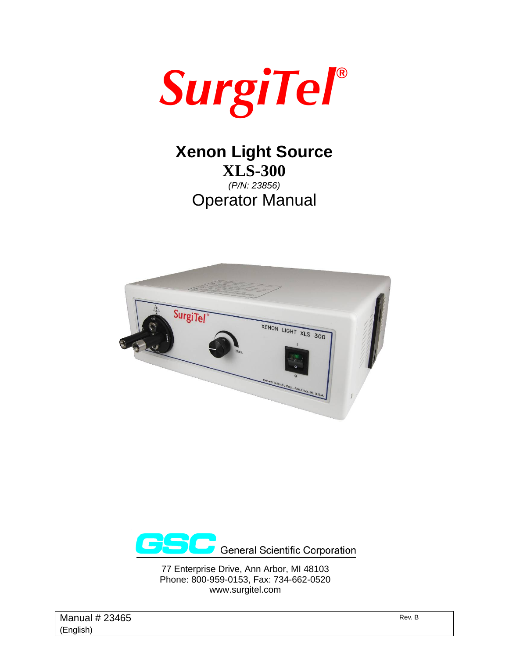

# **Xenon Light Source XLS-300**

*(P/N: 23856)*  Operator Manual





77 Enterprise Drive, Ann Arbor, MI 48103 Phone: 800-959-0153, Fax: 734-662-0520 www.surgitel.com

Manual  $\# 23465$  Rev. B (English)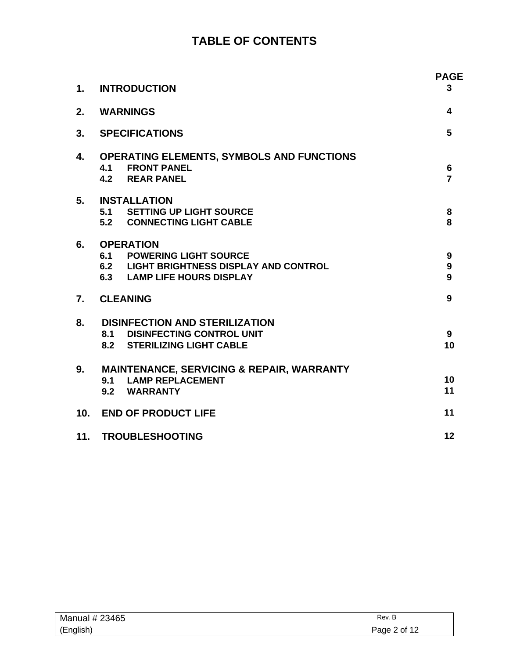## **TABLE OF CONTENTS**

| 1.              | <b>INTRODUCTION</b>                                                                                                             | <b>PAGE</b><br>3                 |
|-----------------|---------------------------------------------------------------------------------------------------------------------------------|----------------------------------|
| 2.              | <b>WARNINGS</b>                                                                                                                 | 4                                |
| 3.              | <b>SPECIFICATIONS</b>                                                                                                           | 5                                |
| 4.              | <b>OPERATING ELEMENTS, SYMBOLS AND FUNCTIONS</b><br><b>4.1 FRONT PANEL</b><br><b>4.2 REAR PANEL</b>                             | $6\phantom{1}$<br>$\overline{7}$ |
| 5.              | <b>INSTALLATION</b><br>5.1 SETTING UP LIGHT SOURCE<br>5.2 CONNECTING LIGHT CABLE                                                | 8<br>8                           |
| 6.              | <b>OPERATION</b><br><b>6.1 POWERING LIGHT SOURCE</b><br>6.2 LIGHT BRIGHTNESS DISPLAY AND CONTROL<br>6.3 LAMP LIFE HOURS DISPLAY | 9<br>9<br>9                      |
| 7.              | <b>CLEANING</b>                                                                                                                 | 9                                |
| 8.              | <b>DISINFECTION AND STERILIZATION</b><br><b>8.1 DISINFECTING CONTROL UNIT</b><br>8.2 STERILIZING LIGHT CABLE                    | 9<br>10                          |
| 9.              | <b>MAINTENANCE, SERVICING &amp; REPAIR, WARRANTY</b><br>9.1 LAMP REPLACEMENT<br>9.2 WARRANTY                                    | 10<br>11                         |
| 10 <sub>1</sub> | <b>END OF PRODUCT LIFE</b>                                                                                                      | 11                               |
|                 | 11. TROUBLESHOOTING                                                                                                             | 12                               |

| Manual # 23465 | Rev. B       |
|----------------|--------------|
| (English)      | Page 2 of 12 |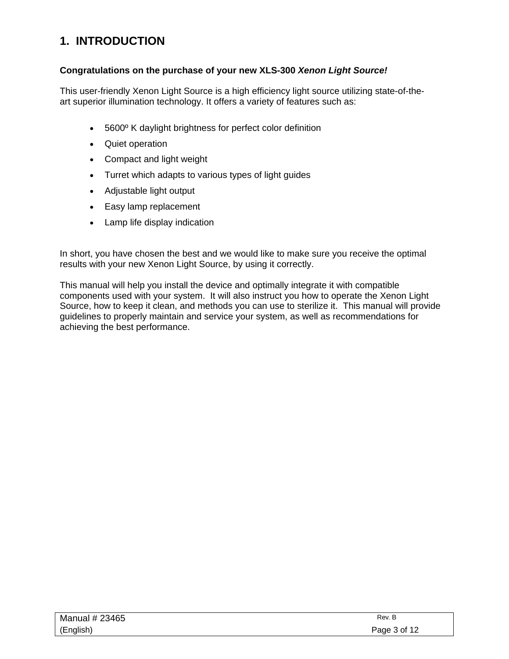## **1. INTRODUCTION**

#### **Congratulations on the purchase of your new XLS-300** *Xenon Light Source!*

This user-friendly Xenon Light Source is a high efficiency light source utilizing state-of-theart superior illumination technology. It offers a variety of features such as:

- 5600º K daylight brightness for perfect color definition
- Quiet operation
- Compact and light weight
- Turret which adapts to various types of light guides
- Adjustable light output
- Easy lamp replacement
- Lamp life display indication

In short, you have chosen the best and we would like to make sure you receive the optimal results with your new Xenon Light Source, by using it correctly.

This manual will help you install the device and optimally integrate it with compatible components used with your system. It will also instruct you how to operate the Xenon Light Source, how to keep it clean, and methods you can use to sterilize it. This manual will provide guidelines to properly maintain and service your system, as well as recommendations for achieving the best performance.

| Manual # 23465 | Rev. B       |
|----------------|--------------|
| (English)      | Page 3 of 12 |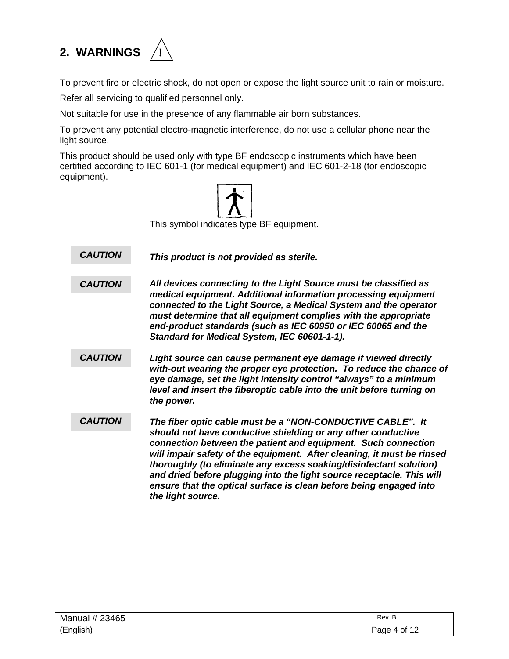# **2. WARNINGS !**



To prevent fire or electric shock, do not open or expose the light source unit to rain or moisture.

Refer all servicing to qualified personnel only.

Not suitable for use in the presence of any flammable air born substances.

To prevent any potential electro-magnetic interference, do not use a cellular phone near the light source.

This product should be used only with type BF endoscopic instruments which have been certified according to IEC 601-1 (for medical equipment) and IEC 601-2-18 (for endoscopic equipment).



This symbol indicates type BF equipment.

*This product is not provided as sterile. CAUTION* 

*All devices connecting to the Light Source must be classified as medical equipment. Additional information processing equipment connected to the Light Source, a Medical System and the operator must determine that all equipment complies with the appropriate end-product standards (such as IEC 60950 or IEC 60065 and the Standard for Medical System, IEC 60601-1-1). CAUTION* 

- *Light source can cause permanent eye damage if viewed directly with-out wearing the proper eye protection. To reduce the chance of eye damage, set the light intensity control "always" to a minimum level and insert the fiberoptic cable into the unit before turning on the power. CAUTION*
- *The fiber optic cable must be a "NON-CONDUCTIVE CABLE". It should not have conductive shielding or any other conductive connection between the patient and equipment. Such connection will impair safety of the equipment. After cleaning, it must be rinsed thoroughly (to eliminate any excess soaking/disinfectant solution) and dried before plugging into the light source receptacle. This will ensure that the optical surface is clean before being engaged into the light source. CAUTION*

| Manual # 23465 | Rev. B       |
|----------------|--------------|
| (English)      | Page 4 of 12 |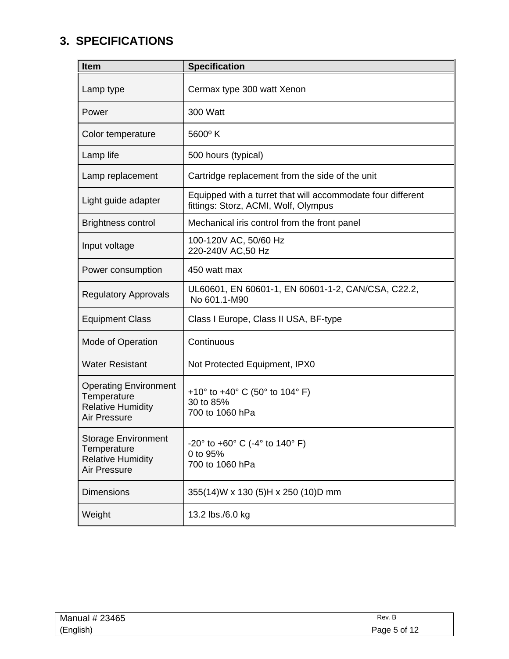## **3. SPECIFICATIONS**

| <b>Item</b>                                                                             | <b>Specification</b>                                                                                |
|-----------------------------------------------------------------------------------------|-----------------------------------------------------------------------------------------------------|
| Lamp type                                                                               | Cermax type 300 watt Xenon                                                                          |
| Power                                                                                   | 300 Watt                                                                                            |
| Color temperature                                                                       | $5600^{\circ}$ K                                                                                    |
| Lamp life                                                                               | 500 hours (typical)                                                                                 |
| Lamp replacement                                                                        | Cartridge replacement from the side of the unit                                                     |
| Light guide adapter                                                                     | Equipped with a turret that will accommodate four different<br>fittings: Storz, ACMI, Wolf, Olympus |
| <b>Brightness control</b>                                                               | Mechanical iris control from the front panel                                                        |
| Input voltage                                                                           | 100-120V AC, 50/60 Hz<br>220-240V AC,50 Hz                                                          |
| Power consumption                                                                       | 450 watt max                                                                                        |
| <b>Regulatory Approvals</b>                                                             | UL60601, EN 60601-1, EN 60601-1-2, CAN/CSA, C22.2,<br>No 601.1-M90                                  |
| <b>Equipment Class</b>                                                                  | Class I Europe, Class II USA, BF-type                                                               |
| Mode of Operation                                                                       | Continuous                                                                                          |
| <b>Water Resistant</b>                                                                  | Not Protected Equipment, IPX0                                                                       |
| <b>Operating Environment</b><br>Temperature<br><b>Relative Humidity</b><br>Air Pressure | +10 $\degree$ to +40 $\degree$ C (50 $\degree$ to 104 $\degree$ F)<br>30 to 85%<br>700 to 1060 hPa  |
| <b>Storage Environment</b><br>Temperature<br><b>Relative Humidity</b><br>Air Pressure   | $-20^{\circ}$ to $+60^{\circ}$ C ( $-4^{\circ}$ to 140° F)<br>0 to 95%<br>700 to 1060 hPa           |
| <b>Dimensions</b>                                                                       | 355(14)W x 130 (5)H x 250 (10)D mm                                                                  |
| Weight                                                                                  | 13.2 lbs./6.0 kg                                                                                    |

| Manual # 23465 | Rev. B       |
|----------------|--------------|
| (English)      | Page 5 of 12 |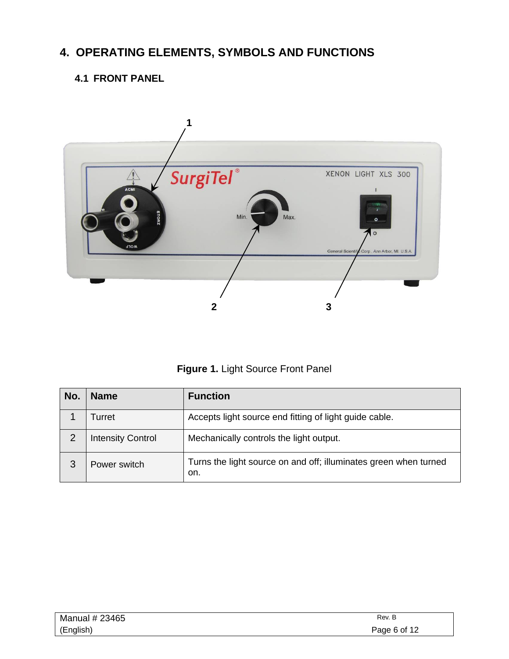## **4. OPERATING ELEMENTS, SYMBOLS AND FUNCTIONS**

### **4.1 FRONT PANEL**





| No. | <b>Name</b>              | <b>Function</b>                                                         |
|-----|--------------------------|-------------------------------------------------------------------------|
|     | Turret                   | Accepts light source end fitting of light guide cable.                  |
| 2   | <b>Intensity Control</b> | Mechanically controls the light output.                                 |
| 3   | Power switch             | Turns the light source on and off; illuminates green when turned<br>on. |

| Manual # 23465 | Rev. B       |
|----------------|--------------|
| (English)      | Page 6 of 12 |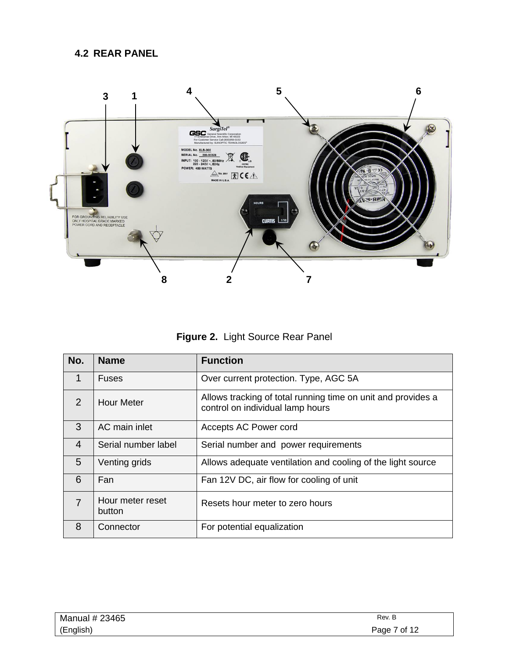### **4.2 REAR PANEL**



**Figure 2.** Light Source Rear Panel

| No.            | <b>Name</b>                | <b>Function</b>                                                                                  |
|----------------|----------------------------|--------------------------------------------------------------------------------------------------|
| 1              | <b>Fuses</b>               | Over current protection. Type, AGC 5A                                                            |
| 2              | <b>Hour Meter</b>          | Allows tracking of total running time on unit and provides a<br>control on individual lamp hours |
| 3              | AC main inlet              | Accepts AC Power cord                                                                            |
| 4              | Serial number label        | Serial number and power requirements                                                             |
| 5              | Venting grids              | Allows adequate ventilation and cooling of the light source                                      |
| 6              | Fan                        | Fan 12V DC, air flow for cooling of unit                                                         |
| $\overline{7}$ | Hour meter reset<br>button | Resets hour meter to zero hours                                                                  |
| 8              | Connector                  | For potential equalization                                                                       |

| Manual # 23465 | Rev. B       |
|----------------|--------------|
| (English)      | Page 7 of 12 |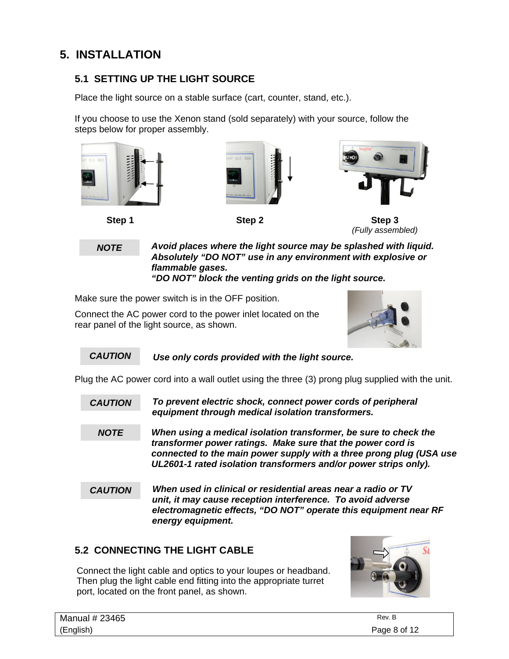## **5. INSTALLATION**

### **5.1 SETTING UP THE LIGHT SOURCE**

Place the light source on a stable surface (cart, counter, stand, etc.).

If you choose to use the Xenon stand (sold separately) with your source, follow the steps below for proper assembly.



*NOTE* 

*Avoid places where the light source may be splashed with liquid. Absolutely "DO NOT" use in any environment with explosive or flammable gases. "DO NOT" block the venting grids on the light source.* 

Make sure the power switch is in the OFF position.

Connect the AC power cord to the power inlet located on the rear panel of the light source, as shown.



 *Use only cords provided with the light source. CAUTION* 

Plug the AC power cord into a wall outlet using the three (3) prong plug supplied with the unit.

- *To prevent electric shock, connect power cords of peripheral equipment through medical isolation transformers. CAUTION*
- *When using a medical isolation transformer, be sure to check the transformer power ratings. Make sure that the power cord is connected to the main power supply with a three prong plug (USA use UL2601-1 rated isolation transformers and/or power strips only). NOTE*
- *When used in clinical or residential areas near a radio or TV unit, it may cause reception interference. To avoid adverse electromagnetic effects, "DO NOT" operate this equipment near RF energy equipment. CAUTION*

### **5.2 CONNECTING THE LIGHT CABLE**

Connect the light cable and optics to your loupes or headband. Then plug the light cable end fitting into the appropriate turret port, located on the front panel, as shown.



| Manual # 23465 | Rev. B       |
|----------------|--------------|
| (English)      | Page 8 of 12 |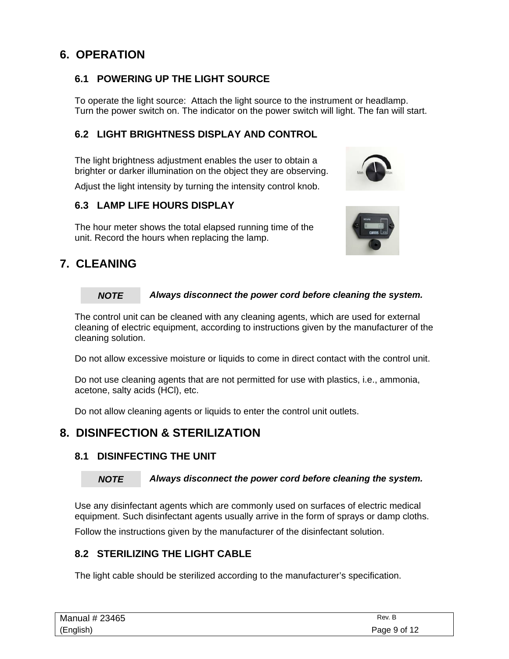### **6. OPERATION**

### **6.1 POWERING UP THE LIGHT SOURCE**

To operate the light source: Attach the light source to the instrument or headlamp. Turn the power switch on. The indicator on the power switch will light. The fan will start.

### **6.2 LIGHT BRIGHTNESS DISPLAY AND CONTROL**

The light brightness adjustment enables the user to obtain a brighter or darker illumination on the object they are observing.

Adjust the light intensity by turning the intensity control knob.

#### **6.3 LAMP LIFE HOURS DISPLAY**

The hour meter shows the total elapsed running time of the unit. Record the hours when replacing the lamp.

### **7. CLEANING**

#### *Always disconnect the power cord before cleaning the system. NOTE*

The control unit can be cleaned with any cleaning agents, which are used for external cleaning of electric equipment, according to instructions given by the manufacturer of the cleaning solution.

Do not allow excessive moisture or liquids to come in direct contact with the control unit.

Do not use cleaning agents that are not permitted for use with plastics, i.e., ammonia, acetone, salty acids (HCl), etc.

Do not allow cleaning agents or liquids to enter the control unit outlets.

### **8. DISINFECTION & STERILIZATION**

#### **8.1 DISINFECTING THE UNIT**

#### *Always disconnect the power cord before cleaning the system. NOTE*

Use any disinfectant agents which are commonly used on surfaces of electric medical equipment. Such disinfectant agents usually arrive in the form of sprays or damp cloths.

Follow the instructions given by the manufacturer of the disinfectant solution.

#### **8.2 STERILIZING THE LIGHT CABLE**

The light cable should be sterilized according to the manufacturer's specification.

| Manual # 23465 | Rev. B       |
|----------------|--------------|
| (English)      | Page 9 of 12 |

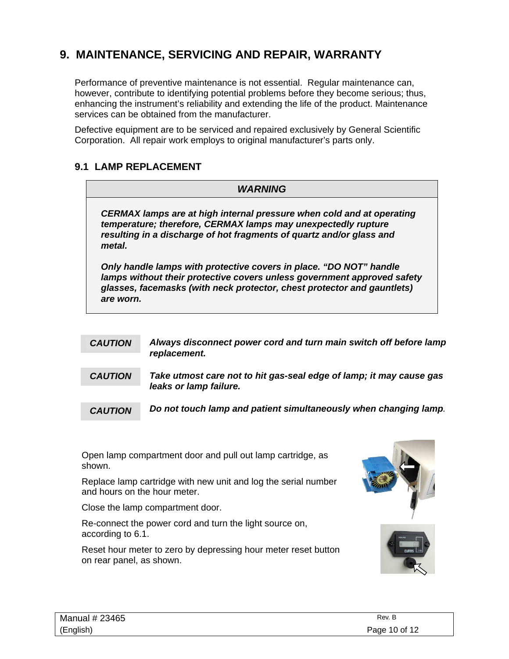## **9. MAINTENANCE, SERVICING AND REPAIR, WARRANTY**

Performance of preventive maintenance is not essential. Regular maintenance can, however, contribute to identifying potential problems before they become serious; thus, enhancing the instrument's reliability and extending the life of the product. Maintenance services can be obtained from the manufacturer.

Defective equipment are to be serviced and repaired exclusively by General Scientific Corporation. All repair work employs to original manufacturer's parts only.

#### **9.1 LAMP REPLACEMENT**

## *WARNING CERMAX lamps are at high internal pressure when cold and at operating temperature; therefore, CERMAX lamps may unexpectedly rupture resulting in a discharge of hot fragments of quartz and/or glass and metal. Only handle lamps with protective covers in place. "DO NOT" handle lamps without their protective covers unless government approved safety glasses, facemasks (with neck protector, chest protector and gauntlets) are worn.*

- *Always disconnect power cord and turn main switch off before lamp replacement. CAUTION*
- *Take utmost care not to hit gas-seal edge of lamp; it may cause gas leaks or lamp failure. CAUTION*

 *Do not touch lamp and patient simultaneously when changing lamp. CAUTION* 

Open lamp compartment door and pull out lamp cartridge, as shown.

Replace lamp cartridge with new unit and log the serial number and hours on the hour meter.

Close the lamp compartment door.

Re-connect the power cord and turn the light source on, according to 6.1.

Reset hour meter to zero by depressing hour meter reset button on rear panel, as shown.



| Manual # 23465 | Rev. B        |
|----------------|---------------|
| (English)      | Page 10 of 12 |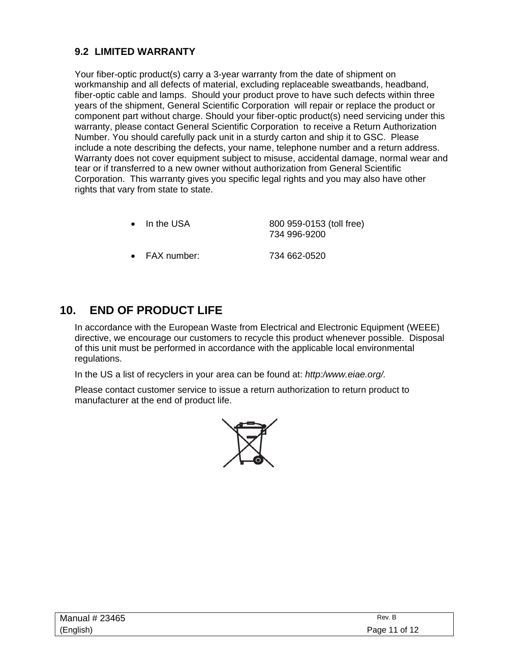### **9.2 LIMITED WARRANTY**

Your fiber-optic product(s) carry a 3-year warranty from the date of shipment on workmanship and all defects of material, excluding replaceable sweatbands, headband, fiber-optic cable and lamps. Should your product prove to have such defects within three years of the shipment, General Scientific Corporation will repair or replace the product or component part without charge. Should your fiber-optic product(s) need servicing under this warranty, please contact General Scientific Corporation to receive a Return Authorization Number. You should carefully pack unit in a sturdy carton and ship it to GSC. Please include a note describing the defects, your name, telephone number and a return address. Warranty does not cover equipment subject to misuse, accidental damage, normal wear and tear or if transferred to a new owner without authorization from General Scientific Corporation. This warranty gives you specific legal rights and you may also have other rights that vary from state to state.

- In the USA 800 959-0153 (toll free) 734 996-9200
- FAX number: 734 662-0520

### **10. END OF PRODUCT LIFE**

 In accordance with the European Waste from Electrical and Electronic Equipment (WEEE) directive, we encourage our customers to recycle this product whenever possible. Disposal of this unit must be performed in accordance with the applicable local environmental regulations.

In the US a list of recyclers in your area can be found at: *http:/www.eiae.org/.* 

Please contact customer service to issue a return authorization to return product to manufacturer at the end of product life.



| Manual # 23465 | Rev. B        |
|----------------|---------------|
| (English)      | Page 11 of 12 |